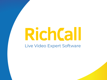# RichCall Live Video Expert Software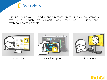Overview

RichCall helps you sell and support remotely providing your customers with a one-touch live support option featuring HD video and web-collaboration tools.





Video Sales Visual Support Video Kiosk



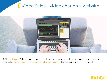## Video Sales – video chat on a website



A "Live Expert" button on your website connects online shopper with a sales rep, who sends pictures, docs and shares apps to turn a visitor to a client.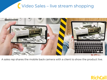# Video Sales – live stream shopping



A sales rep shares the mobile back camera with a client to show the product live.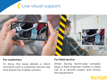# Live visual support



#### **For customers**

To show the issue details a client connects with a customer service rep and shares his mobile camera.

#### **For field service**

When facing technically complex issue a field engineer makes a video call to a remote expert and shows the equipment.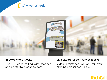



#### **In-store video kiosks**

Live HD video calling with scanner and printer to exchange docs.

#### **Live expert for self-service kiosks**

Video assistance option for your existing self-service kiosks.